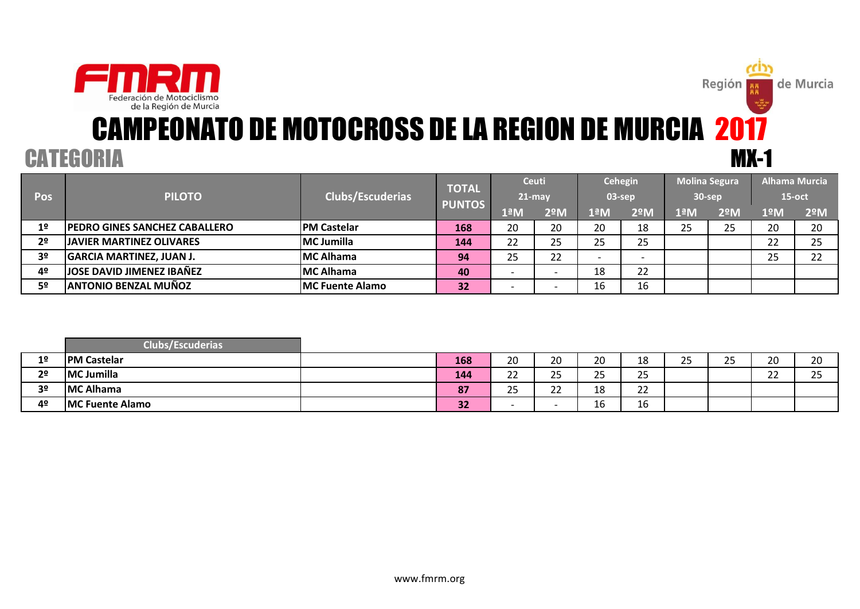

# CAMPEONATO DE MOTOCROSS DE LA REGION DE MURCIA 2017 CATEGORIA MX-1

Región **AR** 

| <b>Pos</b>     | <b>PILOTO</b>                        | Clubs/Escuderias       | <b>TOTAL</b>  | <b>Ceuti</b><br><b>21-may</b> |            | $03$ -sep | Cehegin | <b>Molina Segura</b><br>30-sep |     | $15$ -oct | <b>Alhama Murcia</b> |
|----------------|--------------------------------------|------------------------|---------------|-------------------------------|------------|-----------|---------|--------------------------------|-----|-----------|----------------------|
|                |                                      |                        | <b>PUNTOS</b> | $1^{\underline{a}}$ M         | <b>2ºM</b> | 1ªM       | 2ºM     | 1ªM                            | 2ºM | 1ºM       | 2 <sup>°</sup> M     |
| 1 <sup>°</sup> | <b>PEDRO GINES SANCHEZ CABALLERO</b> | <b>PM Castelar</b>     | 168           | 20                            | 20         | 20        | 18      | 25                             | 25  | 20        | 20                   |
| 2 <sup>o</sup> | <b>JAVIER MARTINEZ OLIVARES</b>      | MC Jumilla             | 144           | 22                            | 25         | 25        | 25      |                                |     | າາ<br>∠∠  | 25                   |
| 3 <sup>o</sup> | <b>GARCIA MARTINEZ, JUAN J.</b>      | MC Alhama              | 94            | 25                            | 22         |           |         |                                |     | 25        | າາ<br>ے ے            |
| 4º             | <b>JOSE DAVID JIMENEZ IBAÑEZ</b>     | MC Alhama              | 40            |                               |            | 18        | 22      |                                |     |           |                      |
| 5º             | <b>ANTONIO BENZAL MUÑOZ</b>          | <b>MC Fuente Alamo</b> | 32            |                               |            | 16        | 16      |                                |     |           |                      |

|                | Clubs/Escuderias <sup>1</sup> |     |                 |                |           |                     |                  |                     |              |                      |
|----------------|-------------------------------|-----|-----------------|----------------|-----------|---------------------|------------------|---------------------|--------------|----------------------|
| 1 <sup>°</sup> | <b>PM Castelar</b>            | 168 | 20              | $\Omega$<br>۷L | ാറ<br>ZU  | 10<br>ΤO            | $\sim$ $-$<br>__ | $\sim$ $\sim$<br>__ | 20           | $\mathbf{a}$<br>ZU   |
| 2 <sup>o</sup> | MC Jumilla                    | 144 | ີ<br>__         | ~-<br>۔ ے      | ЭE<br>__  | $\mathbf{r}$<br>رے  |                  |                     | $\sim$<br>__ | $\sim$ $\sim$<br>ر ے |
| 3 <sup>o</sup> | <b>MC Alhama</b>              | 87  | $\sim$ $-$<br>ت | $\sim$<br>__   | 1 O<br>ŦΟ | $\sim$<br><u>__</u> |                  |                     |              |                      |
| 40             | <b>MC Fuente Alamo</b>        | 32  |                 |                | тo        | $\sim$<br>Ίp        |                  |                     |              |                      |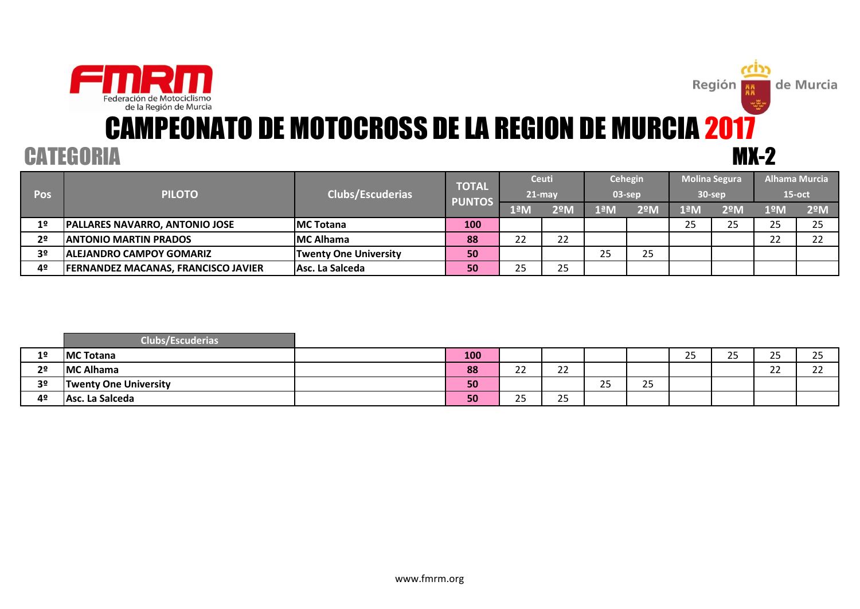

### MX-2 CAMPEONATO DE MOTOCROSS DE LA REGION DE MURCIA 2017

Región<br>Región

de Murcia

### **CATEGORIA**

| Pos            | <b>PILOTO</b>                              | Clubs/Escuderias             | <b>TOTAL</b><br><b>PUNTOS</b> |               | <b>Ceuti</b><br>$21 - max$ | $03$ -sep | Cehegin |     | <b>Molina Segura</b><br>$30$ -sep | <b>Alhama Murcia</b><br>$15$ -oct |    |
|----------------|--------------------------------------------|------------------------------|-------------------------------|---------------|----------------------------|-----------|---------|-----|-----------------------------------|-----------------------------------|----|
|                |                                            |                              | 1ªN                           | $2^{\circ}$ M | 1ªM                        | 2ºM       | lªM'    | 2ºM | 1ºM                               | 2ºM                               |    |
| 1 <sup>o</sup> | <b>PALLARES NAVARRO, ANTONIO JOSE</b>      | <b>IMC Totana</b>            | 100                           |               |                            |           |         | 25  | 25.                               | 25                                | 25 |
| 2 <sup>o</sup> | <b>ANTONIO MARTIN PRADOS</b>               | <b>MC Alhama</b>             | 88                            | 22            | 22                         |           |         |     |                                   | つつ<br>ے ے                         | າາ |
| 3º             | <b>IALEJANDRO CAMPOY GOMARIZ</b>           | <b>Twenty One University</b> | 50                            |               |                            | 25        | 25      |     |                                   |                                   |    |
| 4º             | <b>FERNANDEZ MACANAS, FRANCISCO JAVIER</b> | Asc. La Salceda              | 50                            | 25            | 25                         |           |         |     |                                   |                                   |    |

|                | Clubs/Escuderias <sup>1</sup> |     |                      |                     |                    |                     |                  |            |                     |                 |
|----------------|-------------------------------|-----|----------------------|---------------------|--------------------|---------------------|------------------|------------|---------------------|-----------------|
| 1 <sup>o</sup> | <b>MC Totana</b>              | 100 |                      |                     |                    |                     | <u>__</u><br>ر ے | n m<br>ے ے | $\mathbf{C}$<br>ر ے | <b>OF</b><br>__ |
| 2 <sup>o</sup> | <b>MC Alhama</b>              | 88  | $\sim$<br><u>__</u>  | $\sim$<br><u>__</u> |                    |                     |                  |            | $\sim$<br>__        | $\sim$<br>__    |
| 3 <sup>o</sup> | <b>Twenty One University</b>  | 50  |                      |                     | $\sim$ $\sim$<br>ت | $\sim$ $\sim$<br>رے |                  |            |                     |                 |
| 4º             | Asc. La Salceda               | 50  | $\sim$ $\sim$<br>ر ے | $\sim$ $-$<br>رے    |                    |                     |                  |            |                     |                 |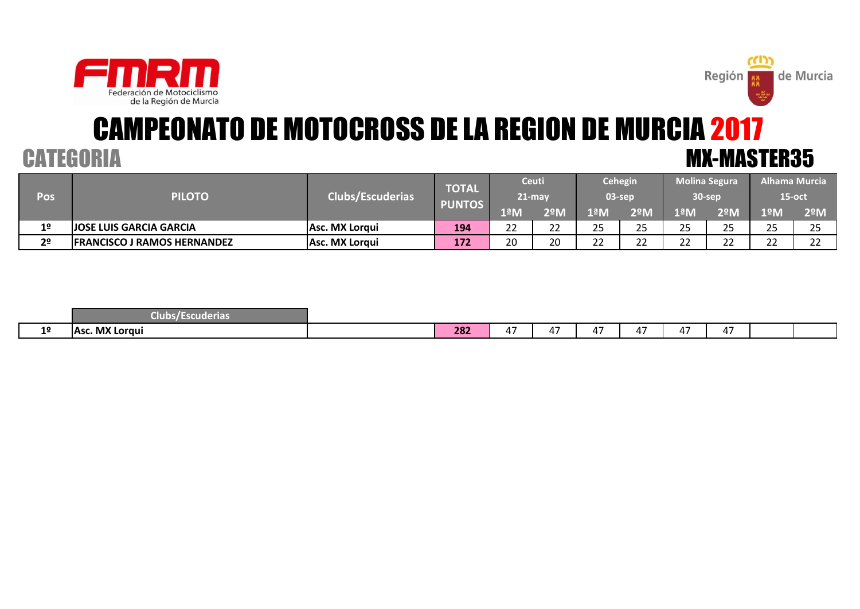



# CAMPEONATO DE MOTOCROSS DE LA REGION DE MURCIA 2017 CATEGORIA MX-MASTER35

|                |                                    |                         | <b>TOTAL</b>  |                 | <b>Ceuti</b>             |              | <b>Cehegin</b> | <b>Molina Segura</b> |                    |                 | Alhama Murcia   |
|----------------|------------------------------------|-------------------------|---------------|-----------------|--------------------------|--------------|----------------|----------------------|--------------------|-----------------|-----------------|
| Pos            | <b>PILOTO</b>                      | <b>Clubs/Escuderias</b> |               | $21$ -may       |                          |              | 03-sep         | 30-sep               |                    | 15-oct          |                 |
|                |                                    |                         | <b>PUNTOS</b> | 1ªM             | 2ºM                      | lªM          | 2ºM            | lªM                  | $2^{\circ}$ M      | 1ºM             | $2^{\circ}$ M   |
| 1 <sup>°</sup> | <b>JOSE LUIS GARCIA GARCIA</b>     | lAsc. MX Loraui         | 194           | າາ<br><u>__</u> | $\sim$<br><u>__</u>      | ЭE<br>رے     | n r<br>رے      | $\sim$ $\sim$        | $\sim$ $\sim$<br>ت | <b>DE</b><br>__ | <b>DE</b><br>__ |
| 2 <sup>o</sup> | <b>FRANCISCO J RAMOS HERNANDEZ</b> | Asc. MX Lorqui          | 172           | 20              | $\mathcal{D} \cap$<br>∠∪ | $\sim$<br>__ | ີ<br>_ _       | $\sim$<br>__         | $\sim$<br>__       | $\sim$<br>__    | $\sim$<br>__    |

|    | <b>Escuderias</b><br>Clubs/ E |     |              |                                     |                                    |                       |                          |                   |  |
|----|-------------------------------|-----|--------------|-------------------------------------|------------------------------------|-----------------------|--------------------------|-------------------|--|
| 10 | . MX Lorgui<br>IAsc           | 282 | $\sim$<br>,, | $\overline{a}$ $\overline{a}$<br>,, | $\sim$<br>$\overline{\phantom{a}}$ | $-$<br>$\overline{ }$ | $\overline{\phantom{a}}$ | $-$<br>$\sqrt{1}$ |  |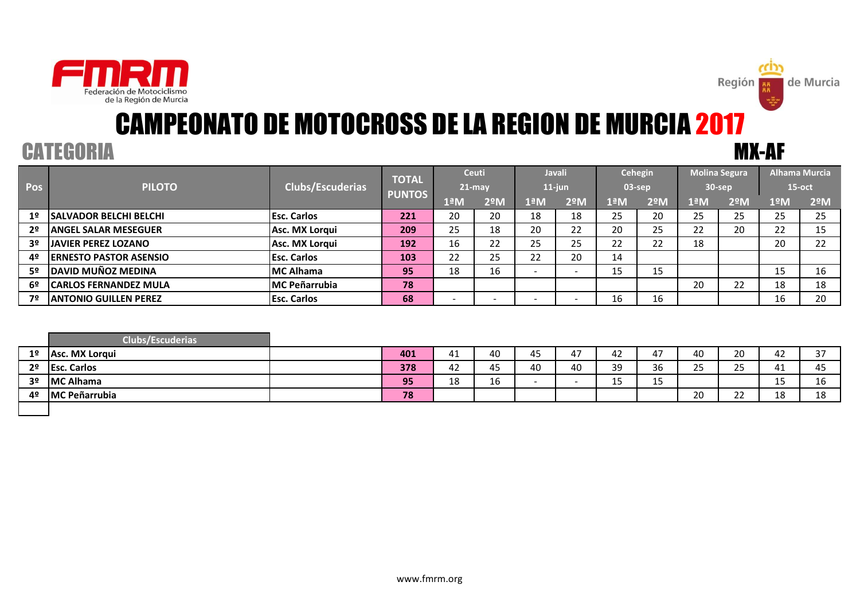

### CATEGORIA MX-AF CAMPEONATO DE MOTOCROSS DE LA REGION DE MURCIA 2017

Región

|                |                                |                      | <b>TOTAL</b>  |     | <b>Ceuti</b>  |     | <b>Javali</b> | Cehegin |               |                       | <b>Molina Segura</b> |           | <b>Alhama Murcia</b> |
|----------------|--------------------------------|----------------------|---------------|-----|---------------|-----|---------------|---------|---------------|-----------------------|----------------------|-----------|----------------------|
| <b>Pos</b>     | <b>PILOTO</b>                  | Clubs/Escuderias     |               |     | $21$ -may     |     | $11$ -jun     |         | 03-sep        |                       | 30-sep               | $15$ -oct |                      |
|                |                                |                      | <b>PUNTOS</b> | 1ªM | $2^{\circ}$ M | 1ªM | $2^{\circ}$ M | 1ªM     | $2^{\circ}$ M | $1^{\underline{a}}$ M | 2ºM                  | 1ºM       | $2^{\circ}$ M        |
| 1 <sup>o</sup> | <b>ISALVADOR BELCHI BELCHI</b> | <b>Esc. Carlos</b>   | 221           | 20  | 20            | 18  | 18            | 25      | 20            | 25                    | 25                   | 25        | 25                   |
| 2º             | <b>ANGEL SALAR MESEGUER</b>    | Asc. MX Lorqui       | 209           | 25  | 18            | 20  | າາ<br>22      | 20      | 25            | 22                    | 20                   | 22        | 15                   |
| 3 <sup>o</sup> | <b>JAVIER PEREZ LOZANO</b>     | Asc. MX Lorqui       | 192           | 16  | 22            | 25  | 25            | 22      | 22            | 18                    |                      | 20        | 22                   |
| 4º             | <b>IERNESTO PASTOR ASENSIO</b> | <b>Esc. Carlos</b>   | 103           | 22  | 25            | 22  | 20            | 14      |               |                       |                      |           |                      |
| 52             | <b>DAVID MUÑOZ MEDINA</b>      | <b>IMC Alhama</b>    | 95            | 18  | 16            |     |               | 15      | 15            |                       |                      | 15        | 16                   |
| 6º             | <b>CARLOS FERNANDEZ MULA</b>   | <b>MC Peñarrubia</b> | 78            |     |               |     |               |         |               | 20                    | 22                   | 18        | 18                   |
| 7º             | <b>IANTONIO GUILLEN PEREZ</b>  | <b>Esc. Carlos</b>   | 68            |     |               |     |               | 16      | 16            |                       |                      | 16        | 20                   |

|    | <b>Clubs/Escuderias</b> |     |             |           |              |    |    |              |                       |                        |            |                      |
|----|-------------------------|-----|-------------|-----------|--------------|----|----|--------------|-----------------------|------------------------|------------|----------------------|
| 1º | Asc. MX Lorgui          | 401 | 4           | 40        | $\sim$<br>45 | 4  | 42 | $\sim$<br>4, | $\overline{ }$<br>40. | 20                     | 44         | $\sim$ $\rightarrow$ |
| 2º | <b>Esc. Carlos</b>      | 378 | . .<br>44 L | . .<br>45 | 40           | 40 | 39 | 36           | $\sim$ $-$<br>ت       | $\sim$ $-$<br>. .<br>ت | 41         | $\sim$<br>45         |
| 3º | <b>MC Alhama</b>        | 95  | 1 O<br>ŦΟ   | 16        |              |    | 15 | 1 E<br>ᅩJ    |                       |                        | --         | 16                   |
| 40 | <b>MC Peñarrubia</b>    | 78  |             |           |              |    |    |              | 20                    | $\sim$<br><u>__</u>    | 1 O<br>ᅟᅩᅌ | 10<br>ᅟᅩᇰ            |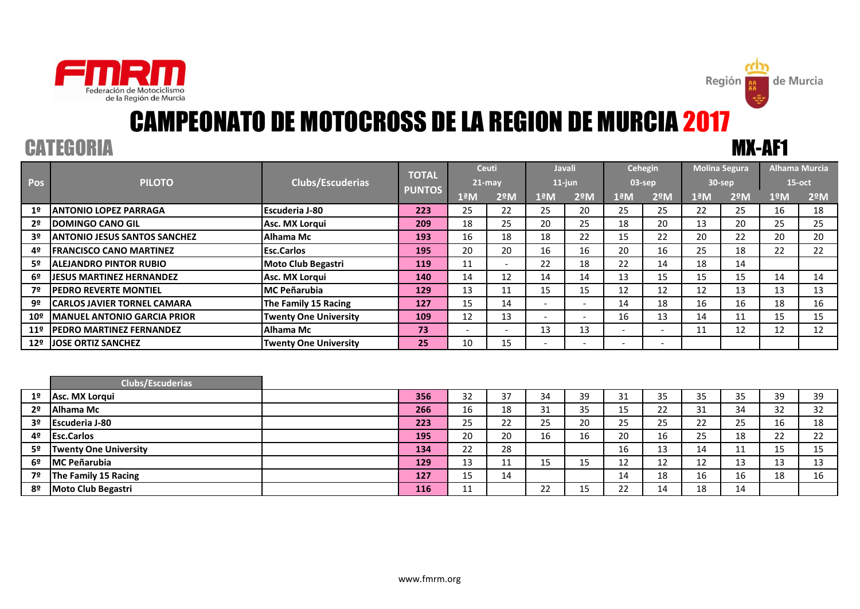

### CATEGORIA MX-AF1 CAMPEONATO DE MOTOCROSS DE LA REGION DE MURCIA 2017

Región |

|                 |                                     |                              | <b>TOTAL</b>  |                          | <b>Ceuti</b>             |                          | <b>Javali</b>            |                          | Cehegin                  |     | <b>Molina Segura</b> |     | <b>Alhama Murcia</b> |
|-----------------|-------------------------------------|------------------------------|---------------|--------------------------|--------------------------|--------------------------|--------------------------|--------------------------|--------------------------|-----|----------------------|-----|----------------------|
| Pos             | <b>PILOTO</b>                       | <b>Clubs/Escuderias</b>      |               | $21$ -may                |                          |                          | $11$ -jun                | $03$ -sep                |                          |     | $30$ -sep            |     | $15$ -oct            |
|                 |                                     |                              | <b>PUNTOS</b> | $1^{\underline{a}}$ M    | $2^{\circ}$ M            | 1ªM                      | $2^{\circ}$ M            | 1ªM                      | $2^{\circ}$ M            | 1ªM | $2^{\circ}$ M        | 1ºM | $2^{\circ}$ M        |
| 1 <sup>2</sup>  | IANTONIO LOPEZ PARRAGA              | <b>Escuderia J-80</b>        | 223           | 25                       | 22                       | 25                       | 20                       | 25                       | 25                       | 22  | 25                   | 16  | 18                   |
| 2º              | <b>IDOMINGO CANO GIL</b>            | Asc. MX Lorqui               | 209           | 18                       | 25                       | 20                       | 25                       | 18                       | 20                       | 13  | 20                   | 25  | 25                   |
| 3º              | <b>ANTONIO JESUS SANTOS SANCHEZ</b> | Alhama Mc                    | 193           | 16                       | 18                       | 18                       | 22                       | 15                       | 22                       | 20  | 22                   | 20  | 20                   |
| 4º              | <b>IFRANCISCO CANO MARTINEZ</b>     | <b>Esc.Carlos</b>            | 195           | 20                       | 20                       | 16                       | 16                       | 20                       | 16                       | 25  | 18                   | 22  | 22                   |
| 52.             | <b>ALEJANDRO PINTOR RUBIO</b>       | <b>Moto Club Begastri</b>    | 119           | 11                       | $\overline{\phantom{0}}$ | 22                       | 18                       | 22                       | 14                       | 18  | 14                   |     |                      |
| 6º              | <b>JIESUS MARTINEZ HERNANDEZ</b>    | Asc. MX Lorgui               | 140           | 14                       | 12                       | 14                       | 14                       | 13                       | 15                       | 15  | 15                   | 14  | 14                   |
| 7º              | <b>IPEDRO REVERTE MONTIEL</b>       | <b>IMC Peñarubia</b>         | 129           | 13                       | 11                       | 15                       | 15                       | 12                       | 12                       | 12  | 13                   | 13  | 13                   |
| 9º              | <b>CARLOS JAVIER TORNEL CAMARA</b>  | The Family 15 Racing         | 127           | 15                       | 14                       | $\overline{\phantom{0}}$ | $\overline{\phantom{a}}$ | 14                       | 18                       | 16  | 16                   | 18  | 16                   |
| $10^{\circ}$    | <b>MANUEL ANTONIO GARCIA PRIOR</b>  | <b>Twenty One University</b> | 109           | 12                       | 13                       | $\overline{\phantom{a}}$ |                          | 16                       | 13                       | 14  | 11                   | 15  | 15                   |
| 11 <sup>°</sup> | <b>IPEDRO MARTINEZ FERNANDEZ</b>    | Alhama Mc                    | 73            | $\overline{\phantom{0}}$ | $\overline{\phantom{0}}$ | 13                       | 13                       | $\overline{\phantom{0}}$ | $\overline{\phantom{a}}$ | 11  | 12                   | 12  | 12                   |
| 12 <sup>°</sup> | <b>JOSE ORTIZ SANCHEZ</b>           | <b>Twenty One University</b> | 25            | 10                       | 15                       | $\overline{\phantom{0}}$ |                          | $\overline{\phantom{0}}$ | $\overline{\phantom{0}}$ |     |                      |     |                      |

|                | <b>Clubs/Escuderias</b>      |     |    |          |                 |    |    |          |    |    |    |         |
|----------------|------------------------------|-----|----|----------|-----------------|----|----|----------|----|----|----|---------|
| 1 <sup>°</sup> | Asc. MX Lorgui               | 356 | 32 | 37       | 34              | 39 | 31 | 35       | 35 | 35 | 39 | 39      |
| 2 <sup>0</sup> | Alhama Mc                    | 266 | 16 | 18       | 31              | 35 | 15 | 22       | 31 | 34 | 32 | 32      |
| 3 <sup>o</sup> | <b>Escuderia J-80</b>        | 223 | 25 | 22       | 25              | 20 | 25 | 25       | 22 | 25 | 16 | 18      |
| 4º             | <b>Esc.Carlos</b>            | 195 | 20 | 20       | 16              | 16 | 20 | 16       | 25 | 18 | 22 | າາ<br>ے |
| 52             | <b>Twenty One University</b> | 134 | 22 | 28       |                 |    | 16 | າາ<br>τp | 14 | ᆠ  | 15 | 15      |
| 6º             | <b>IMC Peñarubia</b>         | 129 | 13 | 11<br>ᆠᆂ | 15              | 15 | 12 | ᅩ        | 12 | 13 | 13 | 12<br>ᅭ |
| 7º             | The Family 15 Racing         | 127 | 15 | 14       |                 |    | 14 | 18       | 16 | 16 | 18 | 16      |
| 8º             | <b>Moto Club Begastri</b>    | 116 | 11 |          | つつ<br><u>__</u> |    | 22 | 14       | 18 | 14 |    |         |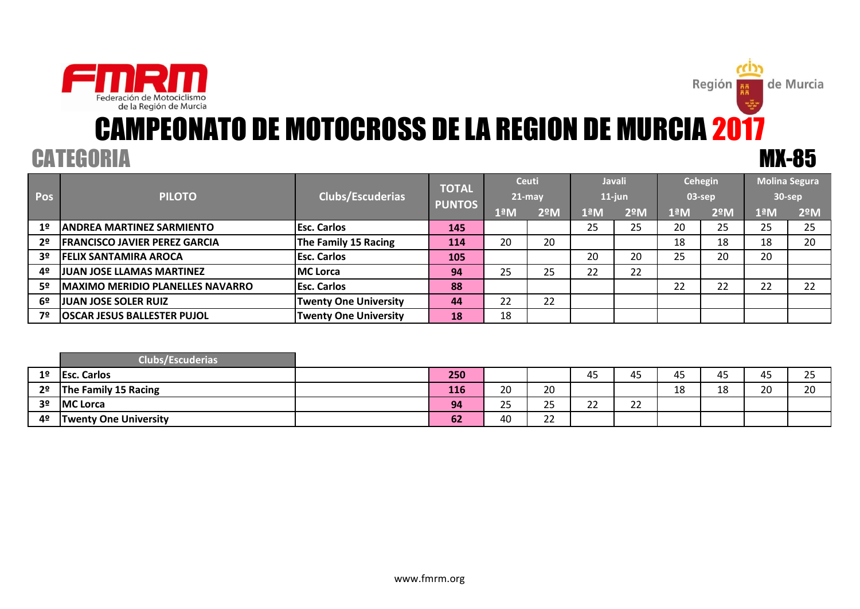

# CATEGORIA MX-85 CAMPEONATO DE MOTOCROSS DE LA REGION DE MURCIA 2017

**Región** 

| <b>Pos</b>     | <b>PILOTO</b>                           | <b>Clubs/Escuderias</b>      | <b>TOTAL</b><br><b>PUNTOS</b> |                      | <b>Ceuti</b><br>$21$ -may |     | <b>Javali</b><br>11-jun |     | Cehegin<br>03-sep | 30-sep                | <b>Molina Segura</b> |
|----------------|-----------------------------------------|------------------------------|-------------------------------|----------------------|---------------------------|-----|-------------------------|-----|-------------------|-----------------------|----------------------|
|                |                                         |                              |                               | $1^{\underline{a}}M$ | 2 <sup>°</sup> M          | 1ªM | 2ºM                     | 1ªM | $2^{\circ}$ M     | $1^{\underline{a}}$ M | 2 <sup>°</sup> M     |
| 1º             | <b>ANDREA MARTINEZ SARMIENTO</b>        | <b>Esc. Carlos</b>           | 145                           |                      |                           | 25  | 25                      | 20  | 25                | 25                    | 25                   |
| 2 <sup>o</sup> | <b>FRANCISCO JAVIER PEREZ GARCIA</b>    | The Family 15 Racing         | 114                           | 20                   | 20                        |     |                         | 18  | 18                | 18                    | 20                   |
| 3º             | <b>FELIX SANTAMIRA AROCA</b>            | <b>Esc. Carlos</b>           | 105                           |                      |                           | 20  | 20                      | 25  | 20                | 20                    |                      |
| 4º             | <b>JUAN JOSE LLAMAS MARTINEZ</b>        | <b>MC</b> Lorca              | 94                            | 25                   | 25                        | 22  | 22                      |     |                   |                       |                      |
| 5º             | <b>MAXIMO MERIDIO PLANELLES NAVARRO</b> | <b>Esc. Carlos</b>           | 88                            |                      |                           |     |                         | 22  | 22                | 22                    | 22                   |
| 6º             | <b>JUAN JOSE SOLER RUIZ</b>             | <b>Twenty One University</b> | 44                            | 22                   | 22                        |     |                         |     |                   |                       |                      |
| 7º             | <b>OSCAR JESUS BALLESTER PUJOL</b>      | <b>Twenty One University</b> | 18                            | 18                   |                           |     |                         |     |                   |                       |                      |

|                | <b>Clubs/Escuderias</b>      |     |    |    |             |             |                 |            |                |                      |
|----------------|------------------------------|-----|----|----|-------------|-------------|-----------------|------------|----------------|----------------------|
| 1 <sup>°</sup> | <b>Esc. Carlos</b>           | 250 |    |    | $-$<br>45   | 45          | 45              | 45         | $\sim$<br>45   | $\sim$ $\sim$<br>ر ے |
| 2 <sup>o</sup> | The Family 15 Racing         | 116 | 20 | 20 |             |             | <b>10</b><br>ᅩᅌ | 1 O<br>ᅟᅩᅌ | $\Omega$<br>∠∪ | 20                   |
| 3 <sup>o</sup> | <b>MC Lorca</b>              | 94  | 25 | 25 | $\sim$<br>ᅩ | $\sim$<br>ᅩ |                 |            |                |                      |
| 4º             | <b>Twenty One University</b> | 62  | 40 | 22 |             |             |                 |            |                |                      |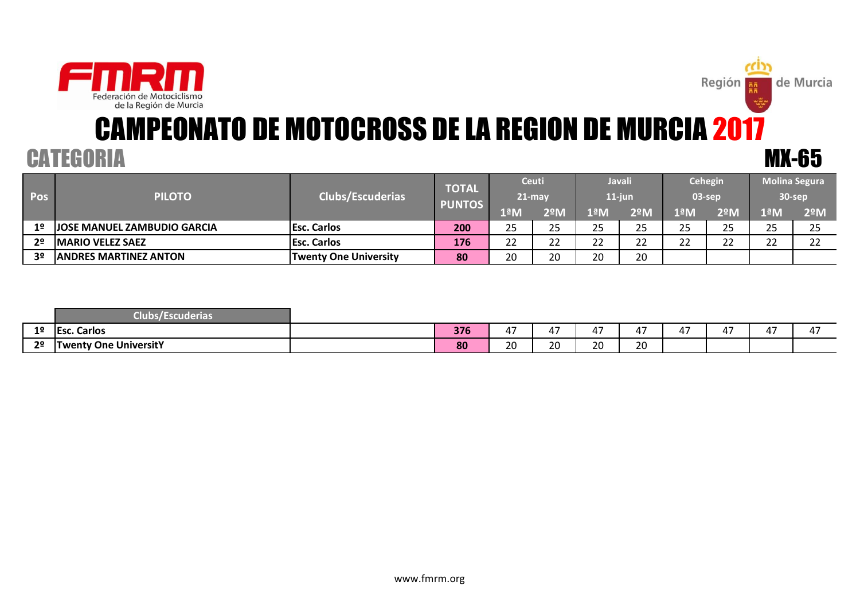

# CAMPEONATO DE MOTOCROSS DE LA REGION DE MURCIA 2017 CATEGORIA MX-65

Región

de Murcia

| Pos            | <b>PILOTO</b>                       | <b>Clubs/Escuderias</b>      | <b>TOTAL</b><br><b>PUNTOS</b> | <b>Ceuti</b><br>$721$ -may |           | <b>Javali</b><br>11-jun |           | Cehegin<br>03-sep |     | <b>Molina Segura</b><br>30-sep |               |
|----------------|-------------------------------------|------------------------------|-------------------------------|----------------------------|-----------|-------------------------|-----------|-------------------|-----|--------------------------------|---------------|
|                |                                     |                              |                               | lªM                        | 2ºM       | 1ªM                     | 2ºM       | 1ªM               | 2ºM | 1ªM                            | $2^{\circ}$ M |
| 1º             | <b>JJOSE MANUEL ZAMBUDIO GARCIA</b> | <b>Esc. Carlos</b>           | 200                           | 25                         | 25        | 25                      | 25        | 25                | つに  | つに                             | つに<br>رے      |
| 2 <sup>o</sup> | <b>IMARIO VELEZ SAEZ</b>            | <b>Esc. Carlos</b>           | 176                           | າາ<br>ے ے                  | າາ<br>ے ے | າາ<br>ے ے               | າາ<br>ے ے | າາ<br>ے ے         | ີ   | ີ                              | ີ             |
| 3º             | <b>JANDRES MARTINEZ ANTON</b>       | <b>Twenty One University</b> | 80                            | 20                         | 20        | 20                      | 20        |                   |     |                                |               |

|                | scuderia.<br>$-1$ . The set of $\sim$ |     |             |             |                               |                                            |             |             |             |                    |
|----------------|---------------------------------------|-----|-------------|-------------|-------------------------------|--------------------------------------------|-------------|-------------|-------------|--------------------|
| 1 <sup>o</sup> | <b>Esc. Carlos</b>                    | 376 | $\sim$<br>4 | $\sim$<br>4 | $\overline{\phantom{a}}$<br>4 | $\overline{a}$ $\overline{a}$<br>4.<br>. . | $\sim$<br>4 | $\sim$<br>4 | $\sim$<br>ப | $\sim$ $\sim$<br>ப |
| 20             | <b>Twenty One UniversitY</b>          | 80  | 20          | 20          | 20                            | 20                                         |             |             |             |                    |

www.fmrm.org